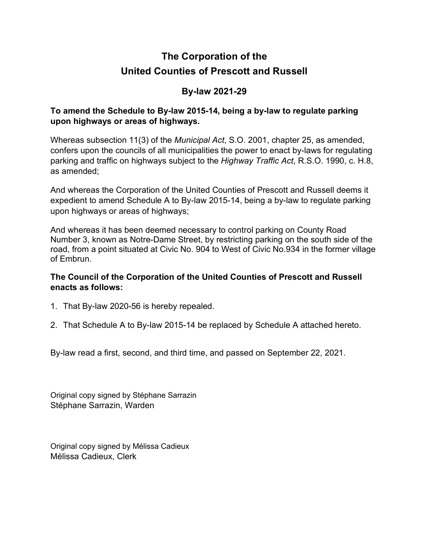# **The Corporation of the United Counties of Prescott and Russell**

### **By-law 2021-29**

#### **To amend the Schedule to By-law 2015-14, being a by-law to regulate parking upon highways or areas of highways.**

Whereas subsection 11(3) of the *Municipal Act*, S.O. 2001, chapter 25, as amended, confers upon the councils of all municipalities the power to enact by-laws for regulating parking and traffic on highways subject to the *Highway Traffic Act*, R.S.O. 1990, c. H.8, as amended;

And whereas the Corporation of the United Counties of Prescott and Russell deems it expedient to amend Schedule A to By-law 2015-14, being a by-law to regulate parking upon highways or areas of highways;

And whereas it has been deemed necessary to control parking on County Road Number 3, known as Notre-Dame Street, by restricting parking on the south side of the road, from a point situated at Civic No. 904 to West of Civic No.934 in the former village of Embrun.

#### **The Council of the Corporation of the United Counties of Prescott and Russell enacts as follows:**

- 1. That By-law 2020-56 is hereby repealed.
- 2. That Schedule A to By-law 2015-14 be replaced by Schedule A attached hereto.

By-law read a first, second, and third time, and passed on September 22, 2021.

Original copy signed by Stéphane Sarrazin Stéphane Sarrazin, Warden

Original copy signed by Mélissa Cadieux Mélissa Cadieux, Clerk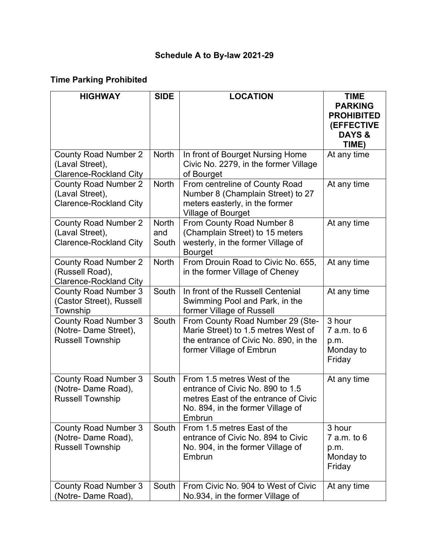## **Schedule A to By-law 2021-29**

## **Time Parking Prohibited**

| <b>HIGHWAY</b>                                                                  | <b>SIDE</b>                  | <b>LOCATION</b>                                                                                                                                        | <b>TIME</b>                                                                     |
|---------------------------------------------------------------------------------|------------------------------|--------------------------------------------------------------------------------------------------------------------------------------------------------|---------------------------------------------------------------------------------|
|                                                                                 |                              |                                                                                                                                                        | <b>PARKING</b><br><b>PROHIBITED</b><br>(EFFECTIVE<br><b>DAYS &amp;</b><br>TIME) |
| <b>County Road Number 2</b><br>(Laval Street),<br><b>Clarence-Rockland City</b> | <b>North</b>                 | In front of Bourget Nursing Home<br>Civic No. 2279, in the former Village<br>of Bourget                                                                | At any time                                                                     |
| <b>County Road Number 2</b><br>(Laval Street),<br><b>Clarence-Rockland City</b> | <b>North</b>                 | From centreline of County Road<br>Number 8 (Champlain Street) to 27<br>meters easterly, in the former<br><b>Village of Bourget</b>                     | At any time                                                                     |
| <b>County Road Number 2</b><br>(Laval Street),<br><b>Clarence-Rockland City</b> | <b>North</b><br>and<br>South | From County Road Number 8<br>(Champlain Street) to 15 meters<br>westerly, in the former Village of<br><b>Bourget</b>                                   | At any time                                                                     |
| <b>County Road Number 2</b><br>(Russell Road),<br><b>Clarence-Rockland City</b> | <b>North</b>                 | From Drouin Road to Civic No. 655,<br>in the former Village of Cheney                                                                                  | At any time                                                                     |
| <b>County Road Number 3</b><br>(Castor Street), Russell<br>Township             | South                        | In front of the Russell Centenial<br>Swimming Pool and Park, in the<br>former Village of Russell                                                       | At any time                                                                     |
| <b>County Road Number 3</b><br>(Notre- Dame Street),<br><b>Russell Township</b> | South                        | From County Road Number 29 (Ste-<br>Marie Street) to 1.5 metres West of<br>the entrance of Civic No. 890, in the<br>former Village of Embrun           | 3 hour<br>$7$ a.m. to $6$<br>p.m.<br>Monday to<br>Friday                        |
| <b>County Road Number 3</b><br>(Notre- Dame Road),<br><b>Russell Township</b>   | South                        | From 1.5 metres West of the<br>entrance of Civic No. 890 to 1.5<br>metres East of the entrance of Civic<br>No. 894, in the former Village of<br>Embrun | At any time                                                                     |
| <b>County Road Number 3</b><br>(Notre- Dame Road),<br><b>Russell Township</b>   | South                        | From 1.5 metres East of the<br>entrance of Civic No. 894 to Civic<br>No. 904, in the former Village of<br>Embrun                                       | 3 hour<br>$7$ a.m. to $6$<br>p.m.<br>Monday to<br>Friday                        |
| <b>County Road Number 3</b><br>(Notre- Dame Road),                              | South                        | From Civic No. 904 to West of Civic<br>No.934, in the former Village of                                                                                | At any time                                                                     |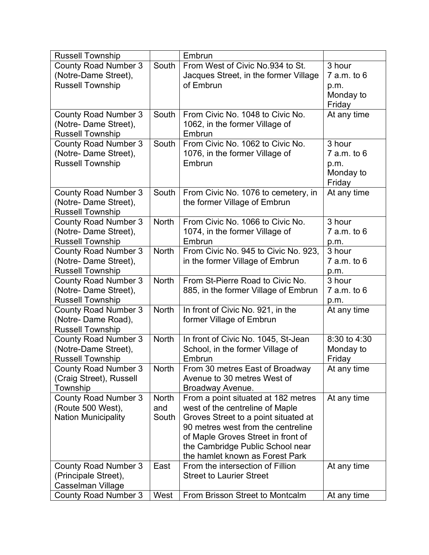| <b>Russell Township</b>                          |              | Embrun                                   |                 |
|--------------------------------------------------|--------------|------------------------------------------|-----------------|
| <b>County Road Number 3</b>                      | South        | From West of Civic No.934 to St.         | 3 hour          |
| (Notre-Dame Street),                             |              | Jacques Street, in the former Village    | 7 a.m. to 6     |
| <b>Russell Township</b>                          |              | of Embrun                                | p.m.            |
|                                                  |              |                                          | Monday to       |
|                                                  |              |                                          | Friday          |
| <b>County Road Number 3</b>                      | South        | From Civic No. 1048 to Civic No.         | At any time     |
| (Notre- Dame Street),                            |              | 1062, in the former Village of           |                 |
| <b>Russell Township</b>                          |              | Embrun                                   |                 |
| <b>County Road Number 3</b>                      | South        | From Civic No. 1062 to Civic No.         | 3 hour          |
| (Notre- Dame Street),                            |              | 1076, in the former Village of           | $7$ a.m. to $6$ |
| <b>Russell Township</b>                          |              | Embrun                                   | p.m.            |
|                                                  |              |                                          | Monday to       |
|                                                  |              |                                          | Friday          |
| <b>County Road Number 3</b>                      | South        | From Civic No. 1076 to cemetery, in      | At any time     |
| (Notre- Dame Street),                            |              | the former Village of Embrun             |                 |
| <b>Russell Township</b>                          |              |                                          |                 |
| <b>County Road Number 3</b>                      | <b>North</b> | From Civic No. 1066 to Civic No.         | 3 hour          |
| (Notre- Dame Street),                            |              | 1074, in the former Village of<br>Embrun | $7$ a.m. to $6$ |
| <b>Russell Township</b>                          | <b>North</b> |                                          | p.m.<br>3 hour  |
| <b>County Road Number 3</b>                      |              | From Civic No. 945 to Civic No. 923,     | $7$ a.m. to $6$ |
| (Notre- Dame Street),<br><b>Russell Township</b> |              | in the former Village of Embrun          |                 |
| <b>County Road Number 3</b>                      | <b>North</b> | From St-Pierre Road to Civic No.         | p.m.<br>3 hour  |
| (Notre- Dame Street),                            |              | 885, in the former Village of Embrun     | $7$ a.m. to $6$ |
| <b>Russell Township</b>                          |              |                                          | p.m.            |
| <b>County Road Number 3</b>                      | <b>North</b> | In front of Civic No. 921, in the        | At any time     |
| (Notre- Dame Road),                              |              | former Village of Embrun                 |                 |
| <b>Russell Township</b>                          |              |                                          |                 |
| <b>County Road Number 3</b>                      | <b>North</b> | In front of Civic No. 1045, St-Jean      | 8:30 to 4:30    |
| (Notre-Dame Street),                             |              | School, in the former Village of         | Monday to       |
| <b>Russell Township</b>                          |              | Embrun                                   | Friday          |
| <b>County Road Number 3</b>                      | <b>North</b> | From 30 metres East of Broadway          | At any time     |
| (Craig Street), Russell                          |              | Avenue to 30 metres West of              |                 |
| Township                                         |              | Broadway Avenue.                         |                 |
| <b>County Road Number 3</b>                      | <b>North</b> | From a point situated at 182 metres      | At any time     |
| (Route 500 West),                                | and          | west of the centreline of Maple          |                 |
| <b>Nation Municipality</b>                       | South        | Groves Street to a point situated at     |                 |
|                                                  |              | 90 metres west from the centreline       |                 |
|                                                  |              | of Maple Groves Street in front of       |                 |
|                                                  |              | the Cambridge Public School near         |                 |
|                                                  |              | the hamlet known as Forest Park          |                 |
| <b>County Road Number 3</b>                      | East         | From the intersection of Fillion         | At any time     |
| (Principale Street),                             |              | <b>Street to Laurier Street</b>          |                 |
| Casselman Village                                |              |                                          |                 |
| <b>County Road Number 3</b>                      | West         | From Brisson Street to Montcalm          | At any time     |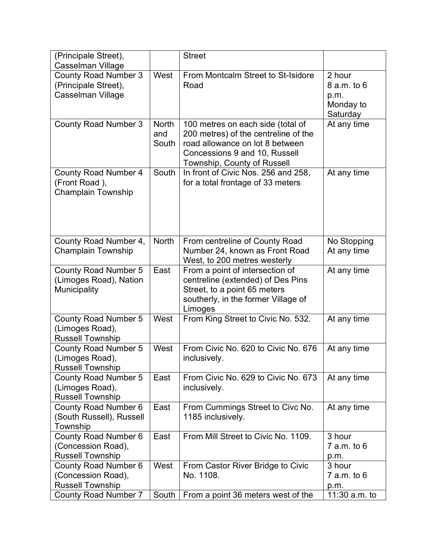| (Principale Street),<br>Casselman Village                                    |                              | <b>Street</b>                                                                                                                                                                |                                                            |
|------------------------------------------------------------------------------|------------------------------|------------------------------------------------------------------------------------------------------------------------------------------------------------------------------|------------------------------------------------------------|
| <b>County Road Number 3</b><br>(Principale Street),<br>Casselman Village     | West                         | From Montcalm Street to St-Isidore<br>Road                                                                                                                                   | 2 hour<br>$8$ a.m. to $6$<br>p.m.<br>Monday to<br>Saturday |
| <b>County Road Number 3</b>                                                  | <b>North</b><br>and<br>South | 100 metres on each side (total of<br>200 metres) of the centreline of the<br>road allowance on lot 8 between<br>Concessions 9 and 10, Russell<br>Township, County of Russell | At any time                                                |
| <b>County Road Number 4</b><br>(Front Road),<br>Champlain Township           | South                        | In front of Civic Nos. 256 and 258,<br>for a total frontage of 33 meters                                                                                                     | At any time                                                |
| County Road Number 4,<br><b>Champlain Township</b>                           | <b>North</b>                 | From centreline of County Road<br>Number 24, known as Front Road<br>West, to 200 metres westerly                                                                             | No Stopping<br>At any time                                 |
| <b>County Road Number 5</b><br>(Limoges Road), Nation<br>Municipality        | East                         | From a point of intersection of<br>centreline (extended) of Des Pins<br>Street, to a point 65 meters<br>southerly, in the former Village of<br>Limoges                       | At any time                                                |
| <b>County Road Number 5</b><br>(Limoges Road),<br><b>Russell Township</b>    | West                         | From King Street to Civic No. 532.                                                                                                                                           | At any time                                                |
| <b>County Road Number 5</b><br>(Limoges Road),<br><b>Russell Township</b>    | West                         | From Civic No. 620 to Civic No. 676<br>inclusively.                                                                                                                          | At any time                                                |
| <b>County Road Number 5</b><br>(Limoges Road),<br><b>Russell Township</b>    | East                         | From Civic No. 629 to Civic No. 673<br>inclusively.                                                                                                                          | At any time                                                |
| <b>County Road Number 6</b><br>(South Russell), Russell<br>Township          | East                         | From Cummings Street to Civc No.<br>1185 inclusively.                                                                                                                        | At any time                                                |
| County Road Number 6<br>(Concession Road),<br><b>Russell Township</b>        | East                         | From Mill Street to Civic No. 1109.                                                                                                                                          | 3 hour<br>$7$ a.m. to $6$<br>p.m.                          |
| <b>County Road Number 6</b><br>(Concession Road),<br><b>Russell Township</b> | West                         | From Castor River Bridge to Civic<br>No. 1108.                                                                                                                               | 3 hour<br>$7$ a.m. to $6$<br>p.m.                          |
| <b>County Road Number 7</b>                                                  | South                        | From a point 36 meters west of the                                                                                                                                           | 11:30 $a.m.$ to                                            |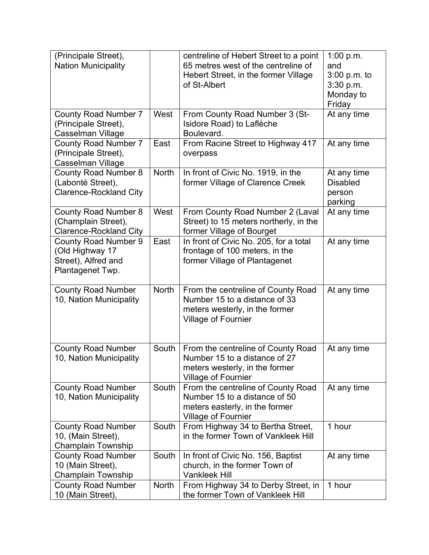| (Principale Street),<br><b>Nation Municipality</b>   |              | centreline of Hebert Street to a point<br>65 metres west of the centreline of | 1:00 $p.m.$<br>and        |
|------------------------------------------------------|--------------|-------------------------------------------------------------------------------|---------------------------|
|                                                      |              | Hebert Street, in the former Village<br>of St-Albert                          | 3:00 p.m. to<br>3:30 p.m. |
|                                                      |              |                                                                               | Monday to                 |
|                                                      |              |                                                                               | Friday                    |
| <b>County Road Number 7</b><br>(Principale Street),  | West         | From County Road Number 3 (St-<br>Isidore Road) to Laflèche                   | At any time               |
| Casselman Village                                    |              | Boulevard.                                                                    |                           |
| <b>County Road Number 7</b>                          | East         | From Racine Street to Highway 417                                             | At any time               |
| (Principale Street),<br>Casselman Village            |              | overpass                                                                      |                           |
| <b>County Road Number 8</b>                          | <b>North</b> | In front of Civic No. 1919, in the                                            | At any time               |
| (Labonté Street),                                    |              | former Village of Clarence Creek                                              | <b>Disabled</b>           |
| <b>Clarence-Rockland City</b>                        |              |                                                                               | person<br>parking         |
| <b>County Road Number 8</b>                          | West         | From County Road Number 2 (Laval                                              | At any time               |
| (Champlain Street),                                  |              | Street) to 15 meters northerly, in the                                        |                           |
| <b>Clarence-Rockland City</b>                        |              | former Village of Bourget                                                     |                           |
| <b>County Road Number 9</b><br>(Old Highway 17       | East         | In front of Civic No. 205, for a total<br>frontage of 100 meters, in the      | At any time               |
| Street), Alfred and                                  |              | former Village of Plantagenet                                                 |                           |
| Plantagenet Twp.                                     |              |                                                                               |                           |
| <b>County Road Number</b>                            | <b>North</b> | From the centreline of County Road                                            | At any time               |
| 10, Nation Municipality                              |              | Number 15 to a distance of 33                                                 |                           |
|                                                      |              | meters westerly, in the former                                                |                           |
|                                                      |              | <b>Village of Fournier</b>                                                    |                           |
|                                                      |              |                                                                               |                           |
| <b>County Road Number</b><br>10, Nation Municipality | South        | From the centreline of County Road<br>Number 15 to a distance of 27           | At any time               |
|                                                      |              | meters westerly, in the former                                                |                           |
|                                                      |              | <b>Village of Fournier</b>                                                    |                           |
| <b>County Road Number</b>                            | South        | From the centreline of County Road                                            | At any time               |
| 10, Nation Municipality                              |              | Number 15 to a distance of 50<br>meters easterly, in the former               |                           |
|                                                      |              | <b>Village of Fournier</b>                                                    |                           |
| <b>County Road Number</b>                            | South        | From Highway 34 to Bertha Street,                                             | 1 hour                    |
| 10, (Main Street),<br><b>Champlain Township</b>      |              | in the former Town of Vankleek Hill                                           |                           |
| <b>County Road Number</b>                            | South        | In front of Civic No. 156, Baptist                                            | At any time               |
| 10 (Main Street),                                    |              | church, in the former Town of                                                 |                           |
| Champlain Township                                   |              | <b>Vankleek Hill</b>                                                          |                           |
| <b>County Road Number</b><br>10 (Main Street),       | <b>North</b> | From Highway 34 to Derby Street, in<br>the former Town of Vankleek Hill       | 1 hour                    |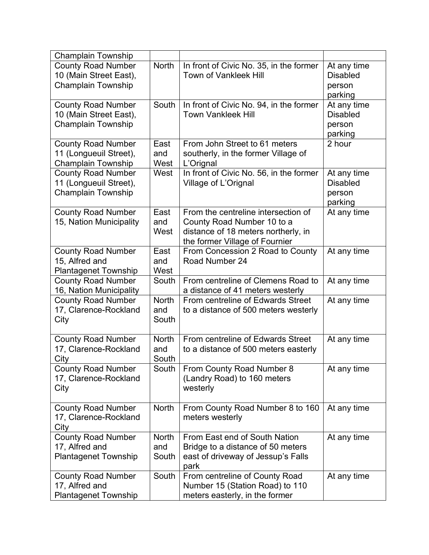| <b>Champlain Township</b>                                                        |                              |                                                                                                                                            |                                                     |
|----------------------------------------------------------------------------------|------------------------------|--------------------------------------------------------------------------------------------------------------------------------------------|-----------------------------------------------------|
| <b>County Road Number</b><br>10 (Main Street East),<br><b>Champlain Township</b> | <b>North</b>                 | In front of Civic No. 35, in the former<br><b>Town of Vankleek Hill</b>                                                                    | At any time<br><b>Disabled</b><br>person<br>parking |
| <b>County Road Number</b><br>10 (Main Street East),<br><b>Champlain Township</b> | South                        | In front of Civic No. 94, in the former<br><b>Town Vankleek Hill</b>                                                                       | At any time<br><b>Disabled</b><br>person<br>parking |
| <b>County Road Number</b><br>11 (Longueuil Street),<br>Champlain Township        | East<br>and<br>West          | From John Street to 61 meters<br>southerly, in the former Village of<br>L'Orignal                                                          | 2 hour                                              |
| <b>County Road Number</b><br>11 (Longueuil Street),<br>Champlain Township        | West                         | In front of Civic No. 56, in the former<br>Village of L'Orignal                                                                            | At any time<br><b>Disabled</b><br>person<br>parking |
| <b>County Road Number</b><br>15, Nation Municipality                             | East<br>and<br>West          | From the centreline intersection of<br>County Road Number 10 to a<br>distance of 18 meters northerly, in<br>the former Village of Fournier | At any time                                         |
| <b>County Road Number</b><br>15, Alfred and<br><b>Plantagenet Township</b>       | East<br>and<br>West          | From Concession 2 Road to County<br>Road Number 24                                                                                         | At any time                                         |
| <b>County Road Number</b><br>16, Nation Municipality                             | South                        | From centreline of Clemens Road to<br>a distance of 41 meters westerly                                                                     | At any time                                         |
| <b>County Road Number</b><br>17, Clarence-Rockland<br>City                       | <b>North</b><br>and<br>South | From centreline of Edwards Street<br>to a distance of 500 meters westerly                                                                  | At any time                                         |
| <b>County Road Number</b><br>17, Clarence-Rockland<br>City                       | <b>North</b><br>and<br>South | From centreline of Edwards Street<br>to a distance of 500 meters easterly                                                                  | At any time                                         |
| <b>County Road Number</b><br>17, Clarence-Rockland<br>City                       | South                        | From County Road Number 8<br>(Landry Road) to 160 meters<br>westerly                                                                       | At any time                                         |
| <b>County Road Number</b><br>17, Clarence-Rockland<br>City                       | <b>North</b>                 | From County Road Number 8 to 160<br>meters westerly                                                                                        | At any time                                         |
| <b>County Road Number</b><br>17, Alfred and<br><b>Plantagenet Township</b>       | <b>North</b><br>and<br>South | From East end of South Nation<br>Bridge to a distance of 50 meters<br>east of driveway of Jessup's Falls<br>park                           | At any time                                         |
| <b>County Road Number</b><br>17, Alfred and<br><b>Plantagenet Township</b>       | South                        | From centreline of County Road<br>Number 15 (Station Road) to 110<br>meters easterly, in the former                                        | At any time                                         |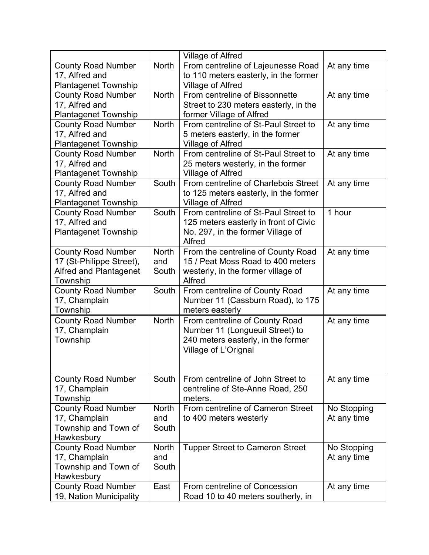| <b>North</b><br>From centreline of Lajeunesse Road<br><b>County Road Number</b><br>At any time<br>to 110 meters easterly, in the former<br>17, Alfred and<br><b>Plantagenet Township</b><br>Village of Alfred<br>From centreline of Bissonnette<br><b>North</b><br><b>County Road Number</b><br>At any time<br>17, Alfred and<br>Street to 230 meters easterly, in the<br><b>Plantagenet Township</b><br>former Village of Alfred<br><b>North</b><br>From centreline of St-Paul Street to<br><b>County Road Number</b><br>At any time<br>17, Alfred and<br>5 meters easterly, in the former<br><b>Plantagenet Township</b><br>Village of Alfred<br>From centreline of St-Paul Street to<br><b>North</b><br><b>County Road Number</b><br>At any time<br>17, Alfred and<br>25 meters westerly, in the former<br><b>Plantagenet Township</b><br>Village of Alfred<br>From centreline of Charlebois Street<br><b>County Road Number</b><br>South<br>At any time<br>17, Alfred and<br>to 125 meters easterly, in the former<br><b>Plantagenet Township</b><br>Village of Alfred<br>From centreline of St-Paul Street to<br>South<br>1 hour<br><b>County Road Number</b><br>17, Alfred and<br>125 meters easterly in front of Civic<br><b>Plantagenet Township</b><br>No. 297, in the former Village of<br>Alfred<br><b>North</b><br>From the centreline of County Road<br>At any time<br><b>County Road Number</b><br>17 (St-Philippe Street),<br>15 / Peat Moss Road to 400 meters<br>and<br><b>Alfred and Plantagenet</b><br>South<br>westerly, in the former village of<br>Alfred<br>Township<br><b>County Road Number</b><br>South<br>From centreline of County Road<br>At any time<br>Number 11 (Cassburn Road), to 175<br>17, Champlain<br>meters easterly<br>Township<br><b>County Road Number</b><br><b>North</b><br>From centreline of County Road<br>At any time<br>17, Champlain<br>Number 11 (Longueuil Street) to<br>240 meters easterly, in the former<br>Township<br>Village of L'Orignal<br>South<br>From centreline of John Street to<br><b>County Road Number</b><br>At any time<br>17, Champlain<br>centreline of Ste-Anne Road, 250<br>Township<br>meters.<br>From centreline of Cameron Street<br><b>County Road Number</b><br><b>North</b><br>No Stopping<br>17, Champlain<br>and<br>to 400 meters westerly<br>At any time<br>Township and Town of<br>South<br>Hawkesbury<br><b>County Road Number</b><br><b>North</b><br><b>Tupper Street to Cameron Street</b><br>No Stopping<br>17, Champlain<br>and<br>At any time<br>Township and Town of<br>South<br>Hawkesbury<br><b>County Road Number</b><br>From centreline of Concession<br>East<br>At any time |                         | Village of Alfred                  |  |
|-----------------------------------------------------------------------------------------------------------------------------------------------------------------------------------------------------------------------------------------------------------------------------------------------------------------------------------------------------------------------------------------------------------------------------------------------------------------------------------------------------------------------------------------------------------------------------------------------------------------------------------------------------------------------------------------------------------------------------------------------------------------------------------------------------------------------------------------------------------------------------------------------------------------------------------------------------------------------------------------------------------------------------------------------------------------------------------------------------------------------------------------------------------------------------------------------------------------------------------------------------------------------------------------------------------------------------------------------------------------------------------------------------------------------------------------------------------------------------------------------------------------------------------------------------------------------------------------------------------------------------------------------------------------------------------------------------------------------------------------------------------------------------------------------------------------------------------------------------------------------------------------------------------------------------------------------------------------------------------------------------------------------------------------------------------------------------------------------------------------------------------------------------------------------------------------------------------------------------------------------------------------------------------------------------------------------------------------------------------------------------------------------------------------------------------------------------------------------------------------------------------------------------------------------------------------------------------------------------------------------------------------------------------------------------|-------------------------|------------------------------------|--|
|                                                                                                                                                                                                                                                                                                                                                                                                                                                                                                                                                                                                                                                                                                                                                                                                                                                                                                                                                                                                                                                                                                                                                                                                                                                                                                                                                                                                                                                                                                                                                                                                                                                                                                                                                                                                                                                                                                                                                                                                                                                                                                                                                                                                                                                                                                                                                                                                                                                                                                                                                                                                                                                                             |                         |                                    |  |
|                                                                                                                                                                                                                                                                                                                                                                                                                                                                                                                                                                                                                                                                                                                                                                                                                                                                                                                                                                                                                                                                                                                                                                                                                                                                                                                                                                                                                                                                                                                                                                                                                                                                                                                                                                                                                                                                                                                                                                                                                                                                                                                                                                                                                                                                                                                                                                                                                                                                                                                                                                                                                                                                             |                         |                                    |  |
|                                                                                                                                                                                                                                                                                                                                                                                                                                                                                                                                                                                                                                                                                                                                                                                                                                                                                                                                                                                                                                                                                                                                                                                                                                                                                                                                                                                                                                                                                                                                                                                                                                                                                                                                                                                                                                                                                                                                                                                                                                                                                                                                                                                                                                                                                                                                                                                                                                                                                                                                                                                                                                                                             |                         |                                    |  |
|                                                                                                                                                                                                                                                                                                                                                                                                                                                                                                                                                                                                                                                                                                                                                                                                                                                                                                                                                                                                                                                                                                                                                                                                                                                                                                                                                                                                                                                                                                                                                                                                                                                                                                                                                                                                                                                                                                                                                                                                                                                                                                                                                                                                                                                                                                                                                                                                                                                                                                                                                                                                                                                                             |                         |                                    |  |
|                                                                                                                                                                                                                                                                                                                                                                                                                                                                                                                                                                                                                                                                                                                                                                                                                                                                                                                                                                                                                                                                                                                                                                                                                                                                                                                                                                                                                                                                                                                                                                                                                                                                                                                                                                                                                                                                                                                                                                                                                                                                                                                                                                                                                                                                                                                                                                                                                                                                                                                                                                                                                                                                             |                         |                                    |  |
|                                                                                                                                                                                                                                                                                                                                                                                                                                                                                                                                                                                                                                                                                                                                                                                                                                                                                                                                                                                                                                                                                                                                                                                                                                                                                                                                                                                                                                                                                                                                                                                                                                                                                                                                                                                                                                                                                                                                                                                                                                                                                                                                                                                                                                                                                                                                                                                                                                                                                                                                                                                                                                                                             |                         |                                    |  |
|                                                                                                                                                                                                                                                                                                                                                                                                                                                                                                                                                                                                                                                                                                                                                                                                                                                                                                                                                                                                                                                                                                                                                                                                                                                                                                                                                                                                                                                                                                                                                                                                                                                                                                                                                                                                                                                                                                                                                                                                                                                                                                                                                                                                                                                                                                                                                                                                                                                                                                                                                                                                                                                                             |                         |                                    |  |
|                                                                                                                                                                                                                                                                                                                                                                                                                                                                                                                                                                                                                                                                                                                                                                                                                                                                                                                                                                                                                                                                                                                                                                                                                                                                                                                                                                                                                                                                                                                                                                                                                                                                                                                                                                                                                                                                                                                                                                                                                                                                                                                                                                                                                                                                                                                                                                                                                                                                                                                                                                                                                                                                             |                         |                                    |  |
|                                                                                                                                                                                                                                                                                                                                                                                                                                                                                                                                                                                                                                                                                                                                                                                                                                                                                                                                                                                                                                                                                                                                                                                                                                                                                                                                                                                                                                                                                                                                                                                                                                                                                                                                                                                                                                                                                                                                                                                                                                                                                                                                                                                                                                                                                                                                                                                                                                                                                                                                                                                                                                                                             |                         |                                    |  |
|                                                                                                                                                                                                                                                                                                                                                                                                                                                                                                                                                                                                                                                                                                                                                                                                                                                                                                                                                                                                                                                                                                                                                                                                                                                                                                                                                                                                                                                                                                                                                                                                                                                                                                                                                                                                                                                                                                                                                                                                                                                                                                                                                                                                                                                                                                                                                                                                                                                                                                                                                                                                                                                                             |                         |                                    |  |
|                                                                                                                                                                                                                                                                                                                                                                                                                                                                                                                                                                                                                                                                                                                                                                                                                                                                                                                                                                                                                                                                                                                                                                                                                                                                                                                                                                                                                                                                                                                                                                                                                                                                                                                                                                                                                                                                                                                                                                                                                                                                                                                                                                                                                                                                                                                                                                                                                                                                                                                                                                                                                                                                             |                         |                                    |  |
|                                                                                                                                                                                                                                                                                                                                                                                                                                                                                                                                                                                                                                                                                                                                                                                                                                                                                                                                                                                                                                                                                                                                                                                                                                                                                                                                                                                                                                                                                                                                                                                                                                                                                                                                                                                                                                                                                                                                                                                                                                                                                                                                                                                                                                                                                                                                                                                                                                                                                                                                                                                                                                                                             |                         |                                    |  |
|                                                                                                                                                                                                                                                                                                                                                                                                                                                                                                                                                                                                                                                                                                                                                                                                                                                                                                                                                                                                                                                                                                                                                                                                                                                                                                                                                                                                                                                                                                                                                                                                                                                                                                                                                                                                                                                                                                                                                                                                                                                                                                                                                                                                                                                                                                                                                                                                                                                                                                                                                                                                                                                                             |                         |                                    |  |
|                                                                                                                                                                                                                                                                                                                                                                                                                                                                                                                                                                                                                                                                                                                                                                                                                                                                                                                                                                                                                                                                                                                                                                                                                                                                                                                                                                                                                                                                                                                                                                                                                                                                                                                                                                                                                                                                                                                                                                                                                                                                                                                                                                                                                                                                                                                                                                                                                                                                                                                                                                                                                                                                             |                         |                                    |  |
|                                                                                                                                                                                                                                                                                                                                                                                                                                                                                                                                                                                                                                                                                                                                                                                                                                                                                                                                                                                                                                                                                                                                                                                                                                                                                                                                                                                                                                                                                                                                                                                                                                                                                                                                                                                                                                                                                                                                                                                                                                                                                                                                                                                                                                                                                                                                                                                                                                                                                                                                                                                                                                                                             |                         |                                    |  |
|                                                                                                                                                                                                                                                                                                                                                                                                                                                                                                                                                                                                                                                                                                                                                                                                                                                                                                                                                                                                                                                                                                                                                                                                                                                                                                                                                                                                                                                                                                                                                                                                                                                                                                                                                                                                                                                                                                                                                                                                                                                                                                                                                                                                                                                                                                                                                                                                                                                                                                                                                                                                                                                                             |                         |                                    |  |
|                                                                                                                                                                                                                                                                                                                                                                                                                                                                                                                                                                                                                                                                                                                                                                                                                                                                                                                                                                                                                                                                                                                                                                                                                                                                                                                                                                                                                                                                                                                                                                                                                                                                                                                                                                                                                                                                                                                                                                                                                                                                                                                                                                                                                                                                                                                                                                                                                                                                                                                                                                                                                                                                             |                         |                                    |  |
|                                                                                                                                                                                                                                                                                                                                                                                                                                                                                                                                                                                                                                                                                                                                                                                                                                                                                                                                                                                                                                                                                                                                                                                                                                                                                                                                                                                                                                                                                                                                                                                                                                                                                                                                                                                                                                                                                                                                                                                                                                                                                                                                                                                                                                                                                                                                                                                                                                                                                                                                                                                                                                                                             |                         |                                    |  |
|                                                                                                                                                                                                                                                                                                                                                                                                                                                                                                                                                                                                                                                                                                                                                                                                                                                                                                                                                                                                                                                                                                                                                                                                                                                                                                                                                                                                                                                                                                                                                                                                                                                                                                                                                                                                                                                                                                                                                                                                                                                                                                                                                                                                                                                                                                                                                                                                                                                                                                                                                                                                                                                                             |                         |                                    |  |
|                                                                                                                                                                                                                                                                                                                                                                                                                                                                                                                                                                                                                                                                                                                                                                                                                                                                                                                                                                                                                                                                                                                                                                                                                                                                                                                                                                                                                                                                                                                                                                                                                                                                                                                                                                                                                                                                                                                                                                                                                                                                                                                                                                                                                                                                                                                                                                                                                                                                                                                                                                                                                                                                             |                         |                                    |  |
|                                                                                                                                                                                                                                                                                                                                                                                                                                                                                                                                                                                                                                                                                                                                                                                                                                                                                                                                                                                                                                                                                                                                                                                                                                                                                                                                                                                                                                                                                                                                                                                                                                                                                                                                                                                                                                                                                                                                                                                                                                                                                                                                                                                                                                                                                                                                                                                                                                                                                                                                                                                                                                                                             |                         |                                    |  |
|                                                                                                                                                                                                                                                                                                                                                                                                                                                                                                                                                                                                                                                                                                                                                                                                                                                                                                                                                                                                                                                                                                                                                                                                                                                                                                                                                                                                                                                                                                                                                                                                                                                                                                                                                                                                                                                                                                                                                                                                                                                                                                                                                                                                                                                                                                                                                                                                                                                                                                                                                                                                                                                                             |                         |                                    |  |
|                                                                                                                                                                                                                                                                                                                                                                                                                                                                                                                                                                                                                                                                                                                                                                                                                                                                                                                                                                                                                                                                                                                                                                                                                                                                                                                                                                                                                                                                                                                                                                                                                                                                                                                                                                                                                                                                                                                                                                                                                                                                                                                                                                                                                                                                                                                                                                                                                                                                                                                                                                                                                                                                             |                         |                                    |  |
|                                                                                                                                                                                                                                                                                                                                                                                                                                                                                                                                                                                                                                                                                                                                                                                                                                                                                                                                                                                                                                                                                                                                                                                                                                                                                                                                                                                                                                                                                                                                                                                                                                                                                                                                                                                                                                                                                                                                                                                                                                                                                                                                                                                                                                                                                                                                                                                                                                                                                                                                                                                                                                                                             |                         |                                    |  |
|                                                                                                                                                                                                                                                                                                                                                                                                                                                                                                                                                                                                                                                                                                                                                                                                                                                                                                                                                                                                                                                                                                                                                                                                                                                                                                                                                                                                                                                                                                                                                                                                                                                                                                                                                                                                                                                                                                                                                                                                                                                                                                                                                                                                                                                                                                                                                                                                                                                                                                                                                                                                                                                                             |                         |                                    |  |
|                                                                                                                                                                                                                                                                                                                                                                                                                                                                                                                                                                                                                                                                                                                                                                                                                                                                                                                                                                                                                                                                                                                                                                                                                                                                                                                                                                                                                                                                                                                                                                                                                                                                                                                                                                                                                                                                                                                                                                                                                                                                                                                                                                                                                                                                                                                                                                                                                                                                                                                                                                                                                                                                             |                         |                                    |  |
|                                                                                                                                                                                                                                                                                                                                                                                                                                                                                                                                                                                                                                                                                                                                                                                                                                                                                                                                                                                                                                                                                                                                                                                                                                                                                                                                                                                                                                                                                                                                                                                                                                                                                                                                                                                                                                                                                                                                                                                                                                                                                                                                                                                                                                                                                                                                                                                                                                                                                                                                                                                                                                                                             |                         |                                    |  |
|                                                                                                                                                                                                                                                                                                                                                                                                                                                                                                                                                                                                                                                                                                                                                                                                                                                                                                                                                                                                                                                                                                                                                                                                                                                                                                                                                                                                                                                                                                                                                                                                                                                                                                                                                                                                                                                                                                                                                                                                                                                                                                                                                                                                                                                                                                                                                                                                                                                                                                                                                                                                                                                                             |                         |                                    |  |
|                                                                                                                                                                                                                                                                                                                                                                                                                                                                                                                                                                                                                                                                                                                                                                                                                                                                                                                                                                                                                                                                                                                                                                                                                                                                                                                                                                                                                                                                                                                                                                                                                                                                                                                                                                                                                                                                                                                                                                                                                                                                                                                                                                                                                                                                                                                                                                                                                                                                                                                                                                                                                                                                             |                         |                                    |  |
|                                                                                                                                                                                                                                                                                                                                                                                                                                                                                                                                                                                                                                                                                                                                                                                                                                                                                                                                                                                                                                                                                                                                                                                                                                                                                                                                                                                                                                                                                                                                                                                                                                                                                                                                                                                                                                                                                                                                                                                                                                                                                                                                                                                                                                                                                                                                                                                                                                                                                                                                                                                                                                                                             |                         |                                    |  |
|                                                                                                                                                                                                                                                                                                                                                                                                                                                                                                                                                                                                                                                                                                                                                                                                                                                                                                                                                                                                                                                                                                                                                                                                                                                                                                                                                                                                                                                                                                                                                                                                                                                                                                                                                                                                                                                                                                                                                                                                                                                                                                                                                                                                                                                                                                                                                                                                                                                                                                                                                                                                                                                                             |                         |                                    |  |
|                                                                                                                                                                                                                                                                                                                                                                                                                                                                                                                                                                                                                                                                                                                                                                                                                                                                                                                                                                                                                                                                                                                                                                                                                                                                                                                                                                                                                                                                                                                                                                                                                                                                                                                                                                                                                                                                                                                                                                                                                                                                                                                                                                                                                                                                                                                                                                                                                                                                                                                                                                                                                                                                             |                         |                                    |  |
|                                                                                                                                                                                                                                                                                                                                                                                                                                                                                                                                                                                                                                                                                                                                                                                                                                                                                                                                                                                                                                                                                                                                                                                                                                                                                                                                                                                                                                                                                                                                                                                                                                                                                                                                                                                                                                                                                                                                                                                                                                                                                                                                                                                                                                                                                                                                                                                                                                                                                                                                                                                                                                                                             |                         |                                    |  |
|                                                                                                                                                                                                                                                                                                                                                                                                                                                                                                                                                                                                                                                                                                                                                                                                                                                                                                                                                                                                                                                                                                                                                                                                                                                                                                                                                                                                                                                                                                                                                                                                                                                                                                                                                                                                                                                                                                                                                                                                                                                                                                                                                                                                                                                                                                                                                                                                                                                                                                                                                                                                                                                                             |                         |                                    |  |
|                                                                                                                                                                                                                                                                                                                                                                                                                                                                                                                                                                                                                                                                                                                                                                                                                                                                                                                                                                                                                                                                                                                                                                                                                                                                                                                                                                                                                                                                                                                                                                                                                                                                                                                                                                                                                                                                                                                                                                                                                                                                                                                                                                                                                                                                                                                                                                                                                                                                                                                                                                                                                                                                             |                         |                                    |  |
|                                                                                                                                                                                                                                                                                                                                                                                                                                                                                                                                                                                                                                                                                                                                                                                                                                                                                                                                                                                                                                                                                                                                                                                                                                                                                                                                                                                                                                                                                                                                                                                                                                                                                                                                                                                                                                                                                                                                                                                                                                                                                                                                                                                                                                                                                                                                                                                                                                                                                                                                                                                                                                                                             |                         |                                    |  |
|                                                                                                                                                                                                                                                                                                                                                                                                                                                                                                                                                                                                                                                                                                                                                                                                                                                                                                                                                                                                                                                                                                                                                                                                                                                                                                                                                                                                                                                                                                                                                                                                                                                                                                                                                                                                                                                                                                                                                                                                                                                                                                                                                                                                                                                                                                                                                                                                                                                                                                                                                                                                                                                                             |                         |                                    |  |
|                                                                                                                                                                                                                                                                                                                                                                                                                                                                                                                                                                                                                                                                                                                                                                                                                                                                                                                                                                                                                                                                                                                                                                                                                                                                                                                                                                                                                                                                                                                                                                                                                                                                                                                                                                                                                                                                                                                                                                                                                                                                                                                                                                                                                                                                                                                                                                                                                                                                                                                                                                                                                                                                             |                         |                                    |  |
|                                                                                                                                                                                                                                                                                                                                                                                                                                                                                                                                                                                                                                                                                                                                                                                                                                                                                                                                                                                                                                                                                                                                                                                                                                                                                                                                                                                                                                                                                                                                                                                                                                                                                                                                                                                                                                                                                                                                                                                                                                                                                                                                                                                                                                                                                                                                                                                                                                                                                                                                                                                                                                                                             |                         |                                    |  |
|                                                                                                                                                                                                                                                                                                                                                                                                                                                                                                                                                                                                                                                                                                                                                                                                                                                                                                                                                                                                                                                                                                                                                                                                                                                                                                                                                                                                                                                                                                                                                                                                                                                                                                                                                                                                                                                                                                                                                                                                                                                                                                                                                                                                                                                                                                                                                                                                                                                                                                                                                                                                                                                                             |                         |                                    |  |
|                                                                                                                                                                                                                                                                                                                                                                                                                                                                                                                                                                                                                                                                                                                                                                                                                                                                                                                                                                                                                                                                                                                                                                                                                                                                                                                                                                                                                                                                                                                                                                                                                                                                                                                                                                                                                                                                                                                                                                                                                                                                                                                                                                                                                                                                                                                                                                                                                                                                                                                                                                                                                                                                             |                         |                                    |  |
|                                                                                                                                                                                                                                                                                                                                                                                                                                                                                                                                                                                                                                                                                                                                                                                                                                                                                                                                                                                                                                                                                                                                                                                                                                                                                                                                                                                                                                                                                                                                                                                                                                                                                                                                                                                                                                                                                                                                                                                                                                                                                                                                                                                                                                                                                                                                                                                                                                                                                                                                                                                                                                                                             |                         |                                    |  |
|                                                                                                                                                                                                                                                                                                                                                                                                                                                                                                                                                                                                                                                                                                                                                                                                                                                                                                                                                                                                                                                                                                                                                                                                                                                                                                                                                                                                                                                                                                                                                                                                                                                                                                                                                                                                                                                                                                                                                                                                                                                                                                                                                                                                                                                                                                                                                                                                                                                                                                                                                                                                                                                                             |                         |                                    |  |
|                                                                                                                                                                                                                                                                                                                                                                                                                                                                                                                                                                                                                                                                                                                                                                                                                                                                                                                                                                                                                                                                                                                                                                                                                                                                                                                                                                                                                                                                                                                                                                                                                                                                                                                                                                                                                                                                                                                                                                                                                                                                                                                                                                                                                                                                                                                                                                                                                                                                                                                                                                                                                                                                             | 19, Nation Municipality | Road 10 to 40 meters southerly, in |  |